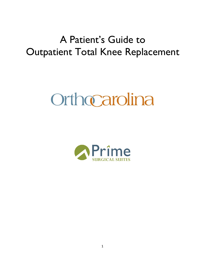# A Patient's Guide to Outpatient Total Knee Replacement

# Orthocarolina

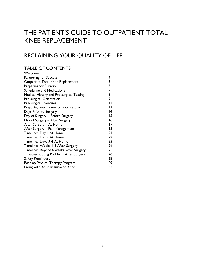# THE PATIENT'S GUIDE TO OUTPATIENT TOTAL KNEE REPLACEMENT

### RECLAIMING YOUR QUALITY OF LIFE

#### TABLE OF CONTENTS

| Welcome                                       | 3              |
|-----------------------------------------------|----------------|
| <b>Partnering for Success</b>                 | 4              |
| Outpatient Total Knee Replacement             | 5              |
| Preparing for Surgery                         | 7              |
| <b>Scheduling and Medications</b>             | 7              |
| Medical History and Pre-surgical Testing      | 8              |
| Pre-surgical Orientation                      | 9              |
| <b>Pre-surgical Exercises</b>                 | $\mathbf{I}$   |
| Preparing your home for your return           | $\overline{3}$ |
| Days Prior to Surgery                         | 14             |
| Day of Surgery - Before Surgery               | 15             |
| Day of Surgery - After Surgery                | 16             |
| After Surgery - At Home                       | 17             |
| After Surgery - Pain Management               | 18             |
| Timeline: Day I At Home                       | 21             |
| Timeline: Day 2 At Home                       | 22             |
| Timeline: Days 3-4 At Home                    | 23             |
| Timeline: Weeks 1-6 After Surgery             | 24             |
| Timeline: Beyond 6 weeks After Surgery        | 25             |
| <b>Troubleshooting Problems After Surgery</b> | 26             |
| <b>Safety Reminders</b>                       | 28             |
| Post-op Physical Therapy Program              | 29             |
| Living with Your Resurfaced Knee              | 32             |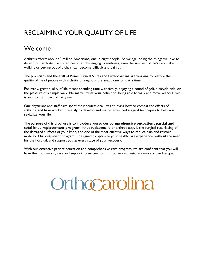## Welcome

Arthritis affects about 40 million Americans, one in eight people. As we age, doing the things we love to do without arthritis pain often becomes challenging. Sometimes, even the simplest of life's tasks, like walking or getting out of a chair, can become difficult and painful.

The physicians and the staff of Prime Surgical Suites and Orthocarolina are working to restore the quality of life of people with arthritis throughout the area... one joint at a time.

For many, great quality of life means spending time with family, enjoying a round of golf, a bicycle ride, or the pleasure of a simple walk. No matter what your definition, being able to walk and move without pain is an important part of living well.

Our physicians and staff have spent their professional lives studying how to combat the effects of arthritis, and have worked tirelessly to develop and master advanced surgical techniques to help you revitalize your life.

The purpose of this brochure is to introduce you to our **comprehensive outpatient partial and total knee replacement program**. Knee replacement, or arthroplasty, is the surgical resurfacing of the damaged surfaces of your knee, and one of the most effective ways to reduce pain and restore mobility. Our outpatient program is designed to optimize your health care experience, without the need for the hospital, and support you at every stage of your recovery.

With our extensive patient education and comprehensive care program, we are confident that you will have the information, care and support to succeed on this journey to restore a more active lifestyle.

# Orthocarolina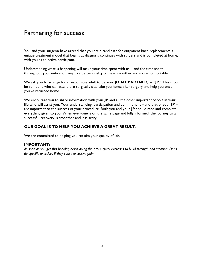### Partnering for success

You and your surgeon have agreed that you are a candidate for outpatient knee replacement: a unique treatment model that begins at diagnosis continues with surgery and is completed at home, with you as an active participant.

Understanding what is happening will make your time spent with us – and the time spent throughout your entire journey to a better quality of life – smoother and more comfortable.

We ask you to arrange for a responsible adult to be your **JOINT PARTNER**, or "**JP**." This should be someone who can attend pre-surgical visits, take you home after surgery and help you once you've returned home.

We encourage you to share information with your **JP** and all the other important people in your life who will assist you. Your understanding, participation and commitment – and that of your **JP** – are important to the success of your procedure. Both you and your **JP** should read and complete everything given to you. When everyone is on the same page and fully informed, the journey to a successful recovery is smoother and less scary.

#### **OUR GOAL IS TO HELP YOU ACHIEVE A GREAT RESULT**.

We are committed to helping you reclaim your quality of life.

#### **IMPORTANT:**

*As soon as you get this booklet, begin doing the pre-surgical exercises to build strength and stamina. Don't do specific exercises if they cause excessive pain.*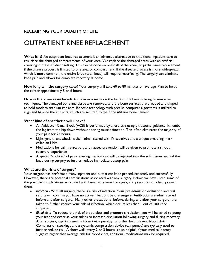## OUTPATIENT KNEE REPLACEMENT

**What is it?** An outpatient knee replacement is an advanced alternative to traditional inpatient care to resurface the damaged compartments of your knee. We replace the damaged areas with an artificial covering in the outpatient setting. This can be done on one-half of the knee, or partial knee replacement if the disease process is limited to one area or compartment. If the disease process is more widespread, which is more common, the entire knee (total knee) will require resurfacing. The surgery can eliminate knee pain and allows for complete recovery at home.

**How long will the surgery take?** Your surgery will take 60 to 80 minutes on average. Plan to be at the center approximately 5 or 6 hours.

**How is the knee resurfaced?** An incision is made on the front of the knee utilizing less-invasive techniques. The damaged bone and tissue are removed, and the bone surfaces are prepped and shaped to hold modern titanium implants. Robotic technology with precise computer algorithms is utilized to align and balance the implants, which are secured to the bone utilizing bone cement.

#### **What kind of anesthetic will I have?**

- An Adductor Canal Block (ACB) is performed by anesthesia using ultrasound guidance. It numbs the leg from the hip down without altering muscle function. This often eliminates the majority of your pain for 24 hours.
- Light general anesthesia is then administered with IV sedatives and a unique breathing mask called an LMA
- Medications for pain, relaxation, and nausea prevention will be given to promote a smooth recovery experience
- A special "cocktail" of pain-relieving medications will be injected into the soft tissues around the knee during surgery to further reduce immediate postop pain

#### **What are the risks of surgery?**

Your surgeon has performed many inpatient and outpatient knee procedures safely and successfully. However, there are potential complications associated with any surgery. Below, we have listed some of the possible complications associated with knee replacement surgery, and precautions to help prevent them:

- *Infection -* With all surgery, there is a risk of infection. Your pre-admission evaluation and test results will confirm you have no active infections before surgery. Antibiotics are administered before and after surgery. Many other precautions--before, during, and after your surgery--are taken to further reduce your risk of infection, which occurs less than 1 out of 100 knee surgeries.
- *Blood clots-* To reduce the risk of blood clots and promote circulation, you will be asked to pump your feet and exercise your ankles to increase circulation following surgery and during recovery. After surgery, aspirin is usually taken twice per day to further help prevent blood clots. Compression stockings and a systemic compression device (calf pumps) are typically used to further reduce risk. A short walk every 2 or 3 hours is also helpful. If your medical history suggests higher than average risk for blood clots, additional medications may be required.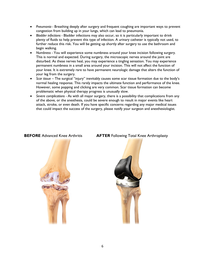- *Pneumonia -* Breathing deeply after surgery and frequent coughing are important ways to prevent congestion from building up in your lungs, which can lead to pneumonia.
- *Bladder infections -* Bladder infections may also occur, so it is particularly important to drink plenty of fluids to help prevent this type of infection. A urinary catheter is typically not used, to further reduce this risk. You will be getting up shortly after surgery to use the bathroom and begin walking.
- *Numbness -* You will experience some numbness around your knee incision following surgery. This is normal and expected. During surgery, the microscopic nerves around the joint are disturbed. As these nerves heal, you may experience a tingling sensation. You may experience permanent numbness in a small area around your incision. This will not affect the function of your knee. It is extremely rare to have permanent neurologic damage that alters the function of your leg from the surgery.
- *Scar tissue*  The surgical "injury" inevitably causes some scar tissue formation due to the body's normal healing response. This rarely impacts the ultimate function and performance of the knee. However, some popping and clicking are very common. Scar tissue formation can become problematic when physical therapy progress is unusually slow.
- *Severe complications -* As with all major surgery, there is a possibility that complications from any of the above, or the anesthesia, could be severe enough to result in major events like heart attack, stroke, or even death. If you have specific concerns regarding any major medical issues that could impact the success of the surgery, please notify your surgeon and anesthesiologist.



#### **BEFORE** Advanced Knee Arthritis **AFTER** Following Total Knee Arthroplasty

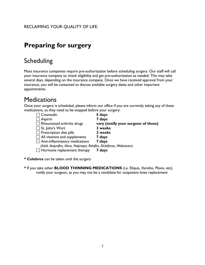# **Preparing for surgery**

## Scheduling

Most insurance companies require pre-authorization before scheduling surgery. Our staff will call your insurance company to check eligibility and get pre-authorization as needed. This may take several days, depending on the insurance company. Once we have received approval from your insurance, you will be contacted to discuss available surgery dates and other important appointments.

### **Medications**

Once your surgery is scheduled, please inform our office if you are currently taking any of these medications, as they need to be stopped before your surgery:

| $\Box$ Coumadin                                                     | 5 days                              |
|---------------------------------------------------------------------|-------------------------------------|
| $\Box$ Aspirin                                                      | 7 days                              |
| $\Box$ Rheumatoid arthritis drugs                                   | vary (notify your surgeon of these) |
| $\Box$ St. John's Wort                                              | 2 weeks                             |
| $\Box$ Prescription diet pills                                      | 2 weeks                             |
| $\Box$ All vitamins and supplements                                 | 7 days                              |
| $\Box$ Anti-inflammatory medications                                | 7 days                              |
| (Advil, ibuprofen, Aleve, Naprosyn, Relafen, Diclofenac, Meloxicam) |                                     |
| $\Box$ Hormone replacement therapy                                  | 7 davs                              |
|                                                                     |                                     |

**\* Celebrex** can be taken until the surgery

**\*** If you take other **BLOOD THINNING MEDICATIONS** (i.e. Eliquis, Xarelto, Plavix, etc), notify your surgeon, as you may not be a candidate for outpatient knee replacement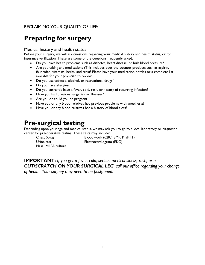# **Preparing for surgery**

#### Medical history and health status

Before your surgery, we will ask questions regarding your medical history and health status, or for insurance verification. These are some of the questions frequently asked:

- Do you have health problems such as diabetes, heart disease, or high blood pressure?
- Are you taking any medications (This includes over-the-counter products such as aspirin, ibuprofen, vitamins, herbs, and teas)? Please have your medication bottles or a complete list available for your physician to review.
- Do you use tobacco, alcohol, or recreational drugs?
- Do you have allergies?
- Do you currently have a fever, cold, rash, or history of recurring infection?
- Have you had previous surgeries or illnesses?
- Are you or could you be pregnant?
- Have you or any blood relatives had previous problems with anesthesia?
- Have you or any blood relatives had a history of blood clots?

### **Pre-surgical testing**

Depending upon your age and medical status, we may ask you to go to a local laboratory or diagnostic center for pre-operative testing. These tests may include:

Urine test **Electrocardiogram** (EKG) Nasal MRSA culture

Chest X-ray Blood work (CBC, BMP, PT/PTT)

**IMPORTANT:** *If you get a fever, cold, serious medical illness, rash, or a CUT/SCRATCH ON YOUR SURGICAL LEG, call our office regarding your change of health. Your surgery may need to be postponed.*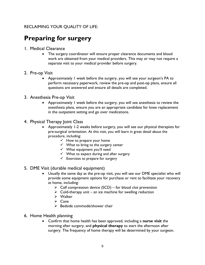# **Preparing for surgery**

- 1. Medical Clearance
	- The surgery coordinator will ensure proper clearance documents and blood work are obtained from your medical providers. This may or may not require a separate visit to your medical provider before surgery.
- 2. Pre-op Visit
	- Approximately 1 week before the surgery, you will see your surgeon's PA to perform necessary paperwork, review the pre-op and post-op plans, ensure all questions are answered and ensure all details are completed.
- 3. Anesthesia Pre-op Visit
	- Approximately 1 week before the surgery, you will see anesthesia to review the anesthesia plans, ensure you are an appropriate candidate for knee replacement in the outpatient setting and go over medications.
- 4. Physical Therapy Joint Class
	- Approximately 1-2 weeks before surgery, you will see our physical therapists for pre-surgical orientation. At this visit, you will learn in great detail about the procedure, including:
		- $\checkmark$  How to prepare your home
		- $\checkmark$  What to bring to the surgery center
		- $\checkmark$  What equipment you'll need
		- $\checkmark$  What to expect during and after surgery
		- $\checkmark$  Exercises to prepare for surgery
- 5. DME Visit (durable medical equipment)
	- Usually the same day as the pre-op visit, you will see our DME specialist who will provide some equipment options for purchase or rent to facilitate your recovery at home, including:
		- $\triangleright$  Calf compression device (SCD) for blood clot prevention
		- $\triangleright$  Cold-therapy unit an ice machine for swelling reduction
		- $\triangleright$  Walker
		- $\triangleright$  Cane
		- $\triangleright$  Bedside commode/shower chair
- 6. Home Health planning
	- Confirm that home health has been approved, including a **nurse visit** the morning after surgery, and **physical therapy** to start the afternoon after surgery. The frequency of home therapy will be determined by your surgeon.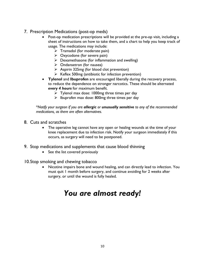- 7. Prescription Medications (post-op meds)
	- Post-op medication prescriptions will be provided at the pre-op visit, including a sheet of instructions on how to take them, and a chart to help you keep track of usage. The medications may include:
		- $\triangleright$  Tramadol (for moderate pain)
		- $\triangleright$  Oxycodone (for severe pain)
		- $\triangleright$  Dexamethasone (for inflammation and swelling)
		- $\triangleright$  Ondansetron (for nausea)
		- $\triangleright$  Aspirin 325mg (for blood clot prevention)
		- $\triangleright$  Keflex 500mg (antibiotic for infection prevention)
	- **Tylenol** and **Ibuprofen** are encouraged liberally during the recovery process, to reduce the dependence on stronger narcotics. These should be alternated *every 4 hours* for maximum benefit.
		- $\triangleright$  Tylenol max dose: 1000mg three times per day
		- $\triangleright$  Ibuprofen max dose: 800mg three times per day

\**Notify your surgeon if you are allergic or unusually sensitive to any of the recommended medications, as there are often alternatives.*

- 8. Cuts and scratches
	- The operative leg cannot have any open or healing wounds at the time of your knee replacement due to infection risk. Notify your surgeon immediately if this occurs, as surgery will need to be postponed.
- 9. Stop medications and supplements that cause blood thinning
	- See the list covered previously

10.Stop smoking and chewing tobacco

• Nicotine impairs bone and wound healing, and can directly lead to infection. You must quit 1 month before surgery, and continue avoiding for 2 weeks after surgery, or until the wound is fully healed.

# *You are almost ready!*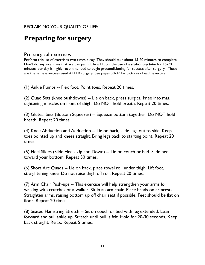# **Preparing for surgery**

#### Pre-surgical exercises

Perform this list of exercises two times a day. They should take about 15-20 minutes to complete. Don't do any exercises that are too painful. In addition, the use of a *stationary bike* for 15-20 minutes per day is highly recommended to begin preconditioning for success after surgery. These are the same exercises used AFTER surgery. See pages 30-32 for pictures of each exercise.

(1) Ankle Pumps -- Flex foot. Point toes. Repeat 20 times.

(2) Quad Sets (knee pushdowns) -- Lie on back, press surgical knee into mat, tightening muscles on front of thigh. Do NOT hold breath. Repeat 20 times.

(3) Gluteal Sets (Bottom Squeezes) -- Squeeze bottom together. Do NOT hold breath. Repeat 20 times.

(4) Knee Abduction and Adduction -- Lie on back, slide legs out to side. Keep toes pointed up and knees straight. Bring legs back to starting point. Repeat 20 times.

(5) Heel Slides (Slide Heels Up and Down) -- Lie on couch or bed. Slide heel toward your bottom. Repeat 50 times.

(6) Short Arc Quads -- Lie on back, place towel roll under thigh. Lift foot, straightening knee. Do not raise thigh off roll. Repeat 20 times.

(7) Arm Chair Push-ups -- This exercise will help strengthen your arms for walking with crutches or a walker. Sit in an armchair. Place hands on armrests. Straighten arms, raising bottom up off chair seat if possible. Feet should be flat on floor. Repeat 20 times.

(8) Seated Hamstring Stretch -- Sit on couch or bed with leg extended. Lean forward and pull ankle up. Stretch until pull is felt. Hold for 20-30 seconds. Keep back straight. Relax. Repeat 5 times.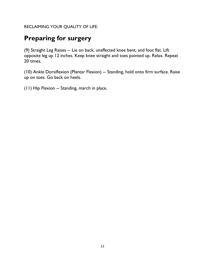# **Preparing for surgery**

(9) Straight Leg Raises -- Lie on back, unaffected knee bent, and foot flat. Lift opposite leg up 12 inches. Keep knee straight and toes pointed up. Relax. Repeat 20 times.

(10) Ankle Dorsiflexion (Plantar Flexion) -- Standing, hold onto firm surface. Raise up on toes. Go back on heels.

(11) Hip Flexion -- Standing, march in place.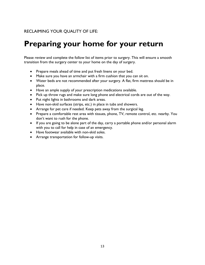# **Preparing your home for your return**

Please review and complete the follow list of items prior to surgery. This will ensure a smooth transition from the surgery center to your home on the day of surgery.

- Prepare meals ahead of time and put fresh linens on your bed.
- Make sure you have an armchair with a firm cushion that you can sit on.
- Water beds are not recommended after your surgery. A flat, firm mattress should be in place.
- Have an ample supply of your prescription medications available.
- Pick up throw rugs and make sure long phone and electrical cords are out of the way.
- Put night lights in bathrooms and dark areas.
- Have non-skid surfaces (strips, etc.) in place in tubs and showers.
- Arrange for pet care if needed. Keep pets away from the surgical leg.
- Prepare a comfortable rest area with tissues, phone, TV, remote control, etc. nearby. You don't want to rush for the phone.
- If you are going to be alone part of the day, carry a portable phone and/or personal alarm with you to call for help in case of an emergency.
- Have footwear available with non-skid soles.
- Arrange transportation for follow-up visits.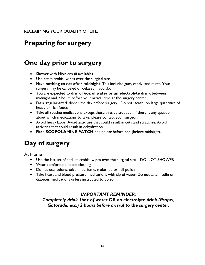# **Preparing for surgery**

### **One day prior to surgery**

- Shower with Hibiclens (if available)
- Use antimicrobial wipes over the surgical site.
- Have **nothing to eat after midnight**. This includes gum, candy, and mints. Your surgery may be canceled or delayed if you do.
- You are expected to **drink 16oz of water or an electrolyte drink** between midnight and 2 hours before your arrival time at the surgery center.
- Eat a 'regular-sized' dinner the day before surgery. Do not "feast" on large quantities of heavy or rich foods.
- Take all routine medications except those already stopped. If there is any question about which medications to take, please contact your surgeon.
- Avoid heavy labor. Avoid activities that could result in cuts and scratches. Avoid activities that could result in dehydration.
- Place **SCOPOLAMINE PATCH** behind ear before bed (before midnight).

# **Day of surgery**

At Home

- Use the last set of anti--microbial wipes over the surgical site DO NOT SHOWER
- Wear comfortable, loose clothing
- Do not use lotions, talcum, perfume, make--up or nail polish
- Take heart and blood pressure medications with sip of water. Do not take insulin or diabetes medications unless instructed to do so.

#### *IMPORTANT REMINDER:*

*Completely drink 16oz of water OR an electrolyte drink (Propel, Gatorade, etc.) 2 hours before arrival to the surgery center.*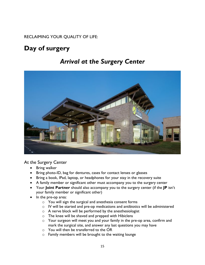# **Day of surgery**

### *Arrival at the Surgery Center*



At the Surgery Center

- Bring walker
- Bring photo-ID, bag for dentures, cases for contact lenses or glasses
- Bring a book, IPad, laptop, or headphones for your stay in the recovery suite
- A family member or significant other must accompany you to the surgery center
- Your **Joint Partner** should also accompany you to the surgery center (if the **JP** isn't your family member or significant other)
- In the pre-op area:
	- o You will sign the surgical and anesthesia consent forms
	- o IV will be started and pre-op medications and antibiotics will be administered
	- o A nerve block will be performed by the anesthesiologist
	- o The knee will be shaved and prepped with Hibiclens
	- o Your surgeon will meet you and your family in the pre-op area, confirm and mark the surgical site, and answer any last questions you may have
	- o You will then be transferred to the OR
	- $\circ$  Family members will be brought to the waiting lounge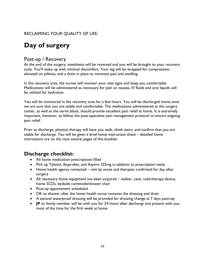# **Day of surgery**

#### Post-op / Recovery

At the end of the surgery, anesthesia will be reversed and you will be brought to your recovery suite. You'll wake up with minimal discomfort. Your leg will be wrapped for compression, elevated on pillows, and a drain in place to minimize pain and swelling.

In the recovery area, the nurses will monitor your vital signs and keep you comfortable. Medications will be administered as necessary for pain or nausea. IV fluids and oral liquids will be utilized for hydration.

You will be monitored in the recovery area for a few hours. You will be discharged home once we are sure that you are stable and comfortable. The medications administered at the surgery center, as well as the nerve block, should provide excellent pain relief at home. It is extremely important, however, to follow the post-operative pain management protocol to ensure ongoing pain relief.

Prior to discharge, physical therapy will have you walk, climb stairs, and confirm that you are stable for discharge. You will be given a brief home instruction sheet – detailed home instructions are on the next several pages of this booklet.

#### **Discharge checklist:**

- All home medication prescriptions filled
- Pick up Tylenol, Ibuprofen, and Aspirin 325mg in addition to prescription meds
- Home health agency contacted visit by nurse and therapist confirmed for day after surgery
- All necessary home equipment has been acquired walker, cane, cold-therapy device, home SCDs, bedside commode/shower chair
- Post-op appointment scheduled
- OK to shower after the home health nurse removes the dressing and drain
- A second waterproof dressing will be provided for dressing change at 7 days post-op
- **JP** or family member will be with you for 24 hours after discharge and present with you most of the time for the first week at home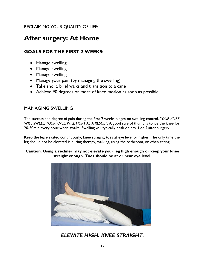# **After surgery: At Home**

#### **GOALS FOR THE FIRST 2 WEEKS:**

- Manage swelling
- Manage swelling
- Manage swelling
- Manage your pain (by managing the swelling)
- Take short, brief walks and transition to a cane
- Achieve 90 degrees or more of knee motion as soon as possible

#### MANAGING SWELLING

The success and degree of pain during the first 2 weeks hinges on swelling control. *YOUR KNEE WILL SWELL. YOUR KNEE WILL HURT AS A RESULT.* A good rule of thumb is to ice the knee for 20-30min every hour when awake. Swelling will typically peak on day 4 or 5 after surgery.

Keep the leg elevated continuously, knee straight, toes at eye level or higher. The only time the leg should not be elevated is during therapy, walking, using the bathroom, or when eating.

#### **Caution: Using a recliner may not elevate your leg high enough or keep your knee straight enough. Toes should be at or near eye level.**



*ELEVATE HIGH. KNEE STRAIGHT.*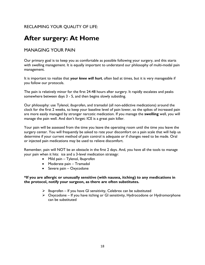# **After surgery: At Home**

#### MANAGING YOUR PAIN

Our primary goal is to keep you as comfortable as possible following your surgery, and this starts with swelling management. It is equally important to understand our philosophy of multi-modal pain management.

It is important to realize that *your knee will hurt*, often bad at times, but it is very manageable if you follow our protocols.

The pain is relatively minor for the first 24-48 hours after surgery. It rapidly escalates and peaks somewhere between days 3 - 5, and then begins slowly subsiding.

Our philosophy: use Tylenol, ibuprofen, and tramadol (all non-addictive medications) around the clock for the first 2 weeks, to keep your baseline level of pain lower, so the spikes of increased pain are more easily managed by stronger narcotic medication. If you manage the **swelling** well, you will manage the pain well. And don't forget: ICE is a great pain killer.

Your pain will be assessed from the time you leave the operating room until the time you leave the surgery center. You will frequently be asked to rate your discomfort on a pain scale that will help us determine if your current method of pain control is adequate or if changes need to be made. Oral or injected pain medications may be used to relieve discomfort.

Remember, pain will NOT be an obstacle in the first 2 days. And, you have all the tools to manage your pain when it hits: ice and a 3-level medication strategy:

- Mild pain Tylenol, Ibuprofen
- Moderate pain Tramadol
- Severe pain Oxycodone

**\*If you are allergic or unusually sensitive (with nausea, itching) to any medications in the protocol, notify your surgeon, as there are often substitutes.**

- $\triangleright$  Ibuprofen If you have GI sensitivity, Celebrex can be substituted
- $\triangleright$  Oxycodone If you have itching or GI sensitivity, Hydrocodone or Hydromorphone can be substituted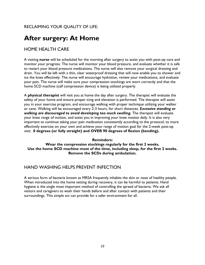# **After surgery: At Home**

#### HOME HEALTH CARE

A visiting **nurse** will be scheduled for the morning after surgery to assist you with post-op care and monitor your progress. The nurse will monitor your blood pressure, and evaluate whether it is safe to restart your blood pressure medications. The nurse will also remove your surgical dressing and drain. You will be left with a thin, clear waterproof dressing that will now enable you to shower and ice the knee effectively. The nurse will encourage hydration, review your medications, and evaluate your pain. The nurse will make sure your compression stockings are worn correctly and that the home SCD machine (calf compression device) is being utilized properly.

A **physical therapist** will visit you at home the day after surgery. The therapist will evaluate the safety of your home and ensure proper icing and elevation is performed. The therapist will assist you in your exercise program, and encourage walking with proper technique utilizing your walker or cane. Walking will be encouraged every 2-3 hours, for short distances. *Excessive standing or walking are discouraged to avoid developing too much swelling.* The therapist will evaluate your knee range of motion, and assist you in improving your knee motion daily. It is also very important to continue taking your pain medication consistently according to the protocol, to more effectively exercise on your own and achieve your range of motion goal for the 2-week post-op visit: **0 degrees (or fully straight) and OVER 90 degrees of flexion (bending).**

#### **Reminders: Wear the compression stockings regularly for the first 2 weeks. Use the home SCD machine most of the time, including sleep, for the first 2 weeks. Remove the SCDs during ambulation.**

#### HAND WASHING HELPS PREVENT INFECTION

A serious form of bacteria known as MRSA frequently inhabits the skin or nose of healthy people. When introduced into the home setting during recovery, it can be harmful to patients. Hand hygiene is the single most important method of controlling the spread of bacteria. We ask all visitors and caregivers to wash their hands before and after contact with patients and their surroundings. This simple act can provide for a safer environment for all.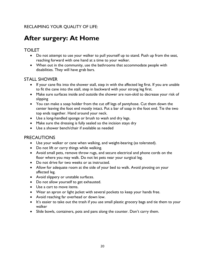# **After surgery: At Home**

#### TOILET

- Do not attempt to use your walker to pull yourself up to stand. Push up from the seat, reaching forward with one hand at a time to your walker.
- When out in the community, use the bathrooms that accommodate people with disabilities. They will have grab bars.

#### STALL SHOWER

- If your cane fits into the shower stall, step in with the affected leg first. If you are unable to fit the cane into the stall, step in backward with your strong leg first.
- Make sure surfaces inside and outside the shower are non-skid to decrease your risk of slipping
- You can make a soap holder from the cut off legs of pantyhose. Cut them down the center leaving the foot end mostly intact. Put a bar of soap in the foot end. Tie the two top ends together. Hand around your neck.
- Use a long-handled sponge or brush to wash and dry legs.
- Make sure the dressing is fully sealed so the incision stays dry
- Use a shower bench/chair if available as needed

#### **PRECAUTIONS**

- Use your walker or cane when walking, and weight-bearing (as tolerated).
- Do not lift or carry things while walking.
- Avoid small pets, remove throw rugs, and secure electrical and phone cords on the floor where you may walk. Do not let pets near your surgical leg.
- Do not drive for two weeks or as instructed.
- Allow for adequate room at the side of your bed to walk. Avoid pivoting on your affected leg.
- Avoid slippery or unstable surfaces.
- Do not allow yourself to get exhausted.
- Use a cart to move items.
- Wear an apron or light jacket with several pockets to keep your hands free.
- Avoid reaching far overhead or down low.
- It's easier to take out the trash if you use small plastic grocery bags and tie them to your walker
- Slide bowls, containers, pots and pans along the counter. Don't carry them.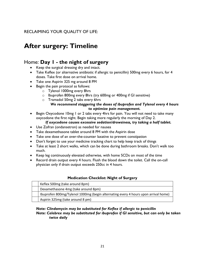### **After surgery: Timeline**

#### Home: **Day 1 - the night of surgery**

- Keep the surgical dressing dry and intact.
- Take Keflex (or alternative antibiotic if allergic to penicillin) 500mg every 6 hours, for 4 doses. Take first dose on arrival home.
- Take one Aspirin 325 mg around 8 PM
- Begin the pain protocol as follows:
	- o Tylenol 1000mg every 8hrs
	- o Ibuprofen 800mg every 8hrs (try 600mg or 400mg if GI sensitive)
	- o Tramadol 50mg 2 tabs every 6hrs
	- *We recommend staggering the doses of ibuprofen and Tylenol every 4 hours to optimize pain management.*
- Begin Oxycodone 10mg 1 or 2 tabs every 4hrs for pain. You will not need to take many oxycodone the first night. Begin taking more regularly the morning of Day 2.

#### *If oxycodone causes excessive sedation/drowsiness, try taking a half tablet.*

- Use Zofran (ondansetron) as needed for nausea
- Take dexamethasone tablet around 8 PM with the Aspirin dose
- Take one dose of an over-the-counter laxative to prevent constipation
- Don't forget to use your medicine tracking chart to help keep track of things
- Take at least 2 short walks, which can be done during bathroom breaks. Don't walk too much.
- Keep leg continuously elevated otherwise, with home SCDs on most of the time
- Record drain output every 4 hours. Flush the blood down the toilet. Call the on-call physician only if drain output exceeds 250cc in 4 hours.

#### **Medication Checklist: Night of Surgery**

| Keflex 500mg (take around 8pm)                                                     |
|------------------------------------------------------------------------------------|
| Dexamethasone 4mg (take around 8pm)                                                |
| Ibuprofen 800mg/Tylenol 1000mg (begin alternating every 4 hours upon arrival home) |
| Aspirin 325mg (take around 8 pm)                                                   |

#### *Note: Clindamycin may be substituted for Keflex if allergic to penicillin Note: Celebrex may be substituted for ibuprofen if GI sensitive, but can only be taken twice daily*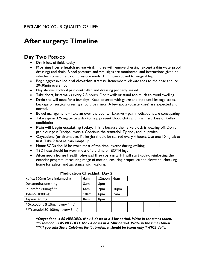# **After surgery: Timeline**

#### **Day Two** Post-op

- Drink lots of fluids today
- **Morning home health nurse visit:** nurse will remove dressing (except a thin waterproof dressing) and drain. Blood pressure and vital signs are monitored, and instructions given on whether to resume blood pressure meds. TED hose applied to surgical leg.
- Begin aggressive **ice and elevation** strategy. Remember: elevate toes to the nose and ice 20-30min every hour
- May shower today if pain controlled and dressing properly sealed
- Take short, brief walks every 2-3 hours. Don't walk or stand too much to avoid swelling.
- Drain site will ooze for a few days. Keep covered with gauze and tape until leakage stops. Leakage on surgical dressing should be minor. A few spots (quarter-size) are expected and normal.
- Bowel management Take an over-the-counter laxative pain medications are constipating
- Take aspirin 325 mg twice a day to help prevent blood clots and finish last dose of Keflex (antibiotic)
- **Pain will begin escalating today.** This is because the nerve block is wearing off. Don't panic our pain "recipe" works. Continue the tramadol, Tylenol, and ibuprofen.
- Oxycodone (or alternative, if allergic) should be started every 4 hours. Use one 10mg tab at first. Take 2 tabs as pain ramps up.
- Home SCDs should be worn most of the time, except during walking
- TED hose should be worn most of the time on BOTH legs
- **Afternoon home health physical therapy visit:** PT will start today, reinforcing the exercise program, measuring range of motion, ensuring proper ice and elevation, checking home for safety, and assistance with walking.

| TRUKALIVIT CHEENISE DAY L        |      |        |      |  |
|----------------------------------|------|--------|------|--|
| Keflex 500mg (or clindamycin)    | 6am  | 12noon | 6pm  |  |
| Dexamethasone 4mg                | 8am  | 8pm    |      |  |
| Ibuprofen 800mg***               | 6am  | 2pm    | 10pm |  |
| Tylenol 1000mg                   | 10am | 6pm    | 2am  |  |
| Aspirin 325mg                    | 8am  | 8pm    |      |  |
| *Oxycodone 5-10mg (every 4hrs)   |      |        |      |  |
| **Tramadol 50-100mg (every 6hrs) |      |        |      |  |

*\*Oxycodone is AS NEEDED. Max 6 doses in a 24hr period. Write in the times taken. \*\*Tramadol is AS NEEDED. Max 4 doses in a 24hr period. Write in the times taken. \*\*\*If you substitute Celebrex for ibuprofen, it should be taken only TWICE daily.*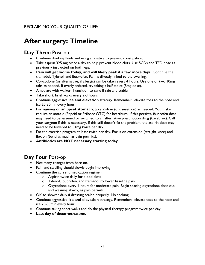# **After surgery: Timeline**

#### **Day Three** Post-op

- Continue drinking fluids and using a laxative to prevent constipation.
- Take aspirin 325 mg twice a day to help prevent blood clots. Use SCDs and TED hose as previously instructed on both legs.
- **Pain will get worse today, and will likely peak if a few more days.** Continue the tramadol, Tylenol, and ibuprofen. Pain is directly linked to the swelling.
- Oxycodone (or alternative, if allergic) can be taken every 4 hours. Use one or two 10mg tabs as needed. If overly sedated, try taking a half tablet (5mg dose).
- Ambulate with walker. Transition to cane if safe and stable.
- Take short, brief walks every 2-3 hours
- Continue aggressive **ice and elevation** strategy. Remember: elevate toes to the nose and ice 20-30min every hour.
- For **nausea or an upset stomach**, take Zofran (ondansetron) as needed. You make require an antacid (Pepcid or Prilosec OTC) for heartburn. If this persists, ibuprofen dose may need to be lessened or switched to an alternative prescription drug (Celebrex). Call your surgeon if this is necessary. If this still doesn't fix the problem, the aspirin dose may need to be lowered to 81mg twice per day.
- Do the exercise program at least twice per day. Focus on extension (straight knee) and flexion (bend as much as pain permits).
- **Antibiotics are NOT necessary starting today**

#### **Day Four** Post-op

- Not many changes from here on.
- Pain and swelling should slowly begin improving
- Continue the current medication regimen:
	- o Aspirin twice daily for blood clots
	- o Tylenol, Ibuprofen, and tramadol to lower baseline pain
	- o Oxycodone every 4 hours for moderate pain. Begin spacing oxycodone dose out and weaning slowly, as pain permits
- OK to shower daily if dressing sealed properly. No soaking.
- Continue aggressive **ice and elevation** strategy. Remember: elevate toes to the nose and ice 20-30min every hour.
- Continue taking short walks and do the physical therapy program twice per day
- **Last day of dexamethasone.**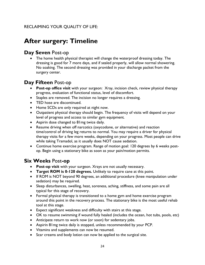# **After surgery: Timeline**

#### **Day Seven** Post-op

• The home health physical therapist will change the waterproof dressing today. The dressing is good for 7 more days, and if sealed properly, will allow normal showering. No soaking. The second dressing was provided in your discharge packet from the surgery center.

#### **Day Fifteen** Post-op

- **Post-op office visit** with your surgeon: Xray, incision check, review physical therapy progress, evaluation of functional status, level of discomfort.
- Staples are removed. The incision no longer requires a dressing.
- TED hose are discontinued.
- Home SCDs are only required at night now.
- Outpatient physical therapy should begin. The frequency of visits will depend on your level of progress and access to similar gym equipment.
- Aspirin dose changed to 81mg twice daily.
- Resume driving when off narcotics (oxycodone, or alternative) and reaction time/control of driving leg returns to normal. You may require a driver for physical therapy visits for a few more weeks, depending on your progress. Most people can drive while taking Tramadol, as it usually does NOT cause sedation.
- Continue home exercise program. Range of motion goal: 120 degrees by 6 weeks postop. Begin using a stationary bike as soon as your pain/motion permits.

#### **Six Weeks** Post**-op**

- **Post-op visit** with your surgeon. Xrays are not usually necessary.
- **Target ROM is 0-120 degrees.** Unlikely to require cane at this point.
- If ROM is NOT beyond 90 degrees, an additional procedure (knee manipulation under sedation) may be required.
- Sleep disturbances, swelling, heat, soreness, aching, stiffness, and some pain are all typical for this stage of recovery.
- Formal physical therapy is transitioned to a home gym and home exercise program around this point in the recovery process. The stationary bike is the most useful rehab tool at this stage.
- Expect significant weakness and difficulty with stairs at this stage.
- OK to resume swimming if wound fully healed (includes the ocean, hot tubs, pools, etc)
- Anticipate return to work now (or soon) for sedentary jobs.
- Aspirin 81mg twice daily is stopped, unless recommended by your PCP.
- Vitamins and supplements can now be resumed.
- Scar creams and body lotion can now be applied to the surgical site.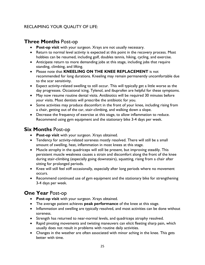#### **Three Months** Post-op

- **Post-op visit** with your surgeon. Xrays are not usually necessary.
- Return to normal level activity is expected at this point in the recovery process. Most hobbies can be resumed, including golf, doubles tennis, hiking, cycling, and exercise.
- Anticipate return to more demanding jobs at this stage, including jobs that require standing, climbing, and lifting.
- Please note that **KNEELING ON THE KNEE REPLACEMENT** is not recommended for long durations. Kneeling may remain permanently uncomfortable due to the scar sensitivity.
- Expect activity-related swelling to still occur. This will typically get a little worse as the day progresses. Occasional icing, Tylenol, and ibuprofen are helpful for these symptoms.
- May now resume routine dental visits. Antibiotics will be required 30 minutes before your visits. Most dentists will prescribe the antibiotic for you.
- Some activities may produce discomfort in the front of your knee, including rising from a chair, getting out of the car, stair-climbing, and walking down a slope.
- Decrease the frequency of exercise at this stage, to allow inflammation to reduce. Recommend using gym equipment and the stationary bike 3-4 days per week.

#### **Six Months** Post-op

- **Post-op visit** with your surgeon. Xrays obtained.
- Tendency for activity-related soreness mostly resolved. There will still be a small amount of swelling, heat, inflammation in most knees at this stage.
- Muscle atrophy in the quadriceps will still be present, but improving steadily. This persistent muscle weakness causes a strain and discomfort along the front of the knee during stair-climbing (especially going downstairs), squatting, rising from a chair after sitting for prolonged periods.
- Knee will still feel stiff occasionally, especially after long periods where no movement occurs.
- Recommend continued use of gym equipment and the stationary bike for strengthening 3-4 days per week.

#### **One Year** Post-op

- **Post-op visit** with your surgeon. Xrays obtained.
- The average patient achieves **peak performance** of the knee at this stage.
- Inflammation and swelling are typically resolved, and most activities can be done without soreness.
- Strength has returned to near-normal levels, and quadriceps atrophy resolved.
- Rapid pivoting movements and twisting maneuvers can elicit fleeting sharp pain, which usually does not result in problems with routine daily activities.
- Changes in the weather are often associated with minor aching in the knee. This gets better with time.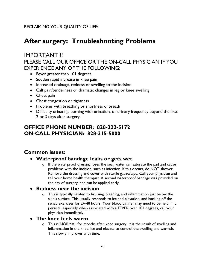# **After surgery: Troubleshooting Problems**

### IMPORTANT !! PLEASE CALL OUR OFFICE OR THE ON-CALL PHYSICIAN IF YOU EXPERIENCE ANY OF THE FOLLOWING:

- Fever greater than 101 degrees
- Sudden rapid increase in knee pain
- Increased drainage, redness or swelling to the incision
- Calf pain/tenderness or dramatic changes in leg or knee swelling
- Chest pain
- Chest congestion or tightness
- Problems with breathing or shortness of breath
- Difficulty urinating, burning with urination, or urinary frequency beyond the first 2 or 3 days after surgery.

#### **OFFICE PHONE NUMBER: 828-322-5172 ON-CALL PHYSICIAN: 828-315-5000**

#### **Common issues:**

#### • **Waterproof bandage leaks or gets wet**

 $\circ$  If the waterproof dressing loses the seal, water can saturate the pad and cause problems with the incision, such as infection. If this occurs, do NOT shower. Remove the dressing and cover with sterile gauze/tape. Call your physician and tell your home health therapist. A second waterproof bandage was provided on the day of surgery, and can be applied early.

#### • **Redness near the incision**

 $\circ$  This is typically related to bruising, bleeding, and inflammation just below the skin's surface. This usually responds to ice and elevation, and backing off the rehab exercises for 24-48 hours. Your blood thinner may need to be held. If it persists, especially when associated with a FEVER over 101 degrees, call your physician immediately.

#### • **The knee feels warm**

o This is NORMAL for months after knee surgery. It is the result of swelling and inflammation in the knee. Ice and elevate to control the swelling and warmth. This slowly improves with time.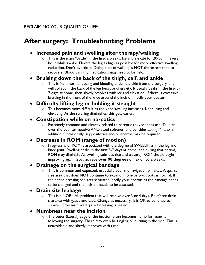# **After surgery: Troubleshooting Problems**

#### • **Increased pain and swelling after therapy/walking**

 $\circ$  This is the main "battle" in the first 2 weeks. Ice and elevate for 20-30min every hour while awake. Elevate the leg as high as possible for more effective swelling reduction. Don't overdo it. Doing a lot of walking is NOT the fastest road to recovery. Blood thinning medications may need to be held.

#### • **Bruising down the back of the thigh, calf, and ankle**

o This is from normal oozing and bleeding under the skin from the surgery, and will collect in the back of the leg because of gravity. It usually peaks in the first 5- 7 days at home, then slowly resolves with ice and elevation. If there is excessive bruising in the front of the knee around the incision, notify your doctor.

#### • **Difficulty lifting leg or holding it straight**

 $\circ$  This becomes more difficult as the knee swelling increases. Keep icing and elevating. As the swelling diminishes, this gets easier.

#### • **Constipation while on narcotics**

o Extremely common and directly related to narcotic (oxycodone) use. Take an over-the-counter laxative AND stool softener, and consider taking Miralax in addition. Occasionally, suppositories and/or enemas may be required.

#### • **Decrease in ROM (range of motion)**

o Progress with ROM is associated with the degree of SWELLING in the leg and knee joint. Swelling peaks in the first 5-7 days at home, and during that period, ROM may diminish. As swelling subsides (ice and elevate), ROM should begin improving again. Goal: achieve **over 90 degrees** of flexion by 2 weeks.

#### • **Drainage on the surgical bandage**

o This is common and expected, especially over the navigation pin sites. A quartersize area that does NOT continue to expand in one or two spots is normal. If the entire dressing pad gets saturated, notify your doctor, as the bandage needs to be changed and the incision needs to be assessed.

#### • **Drain site leakage**

 $\circ$  This is a NORMAL problem that will resolve over 3 or 4 days. Reinforce drain site area with gauze and tape. Change as necessary. It is OK to continue to shower if the main waterproof dressing is sealed.

#### • **Numbness near the incision**

o The outer (lateral) edge of the incision often becomes numb for months following the surgery. There may even be tingling or burning in the skin. This is unavoidable and slowly improves with time.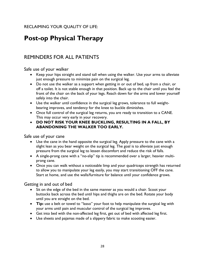# **Post-op Physical Therapy**

### REMINDERS FOR ALL PATIENTS

Safe use of your walker

- Keep your hips straight and stand tall when using the walker. Use your arms to alleviate just enough pressure to minimize pain on the surgical leg.
- Do not use the walker as a support when getting in or out of bed, up from a chair, or off a toilet. It is not stable enough in that position. Back up to the chair until you feel the front of the chair on the back of your legs. Reach down for the arms and lower yourself safely into the chair.
- Use the walker until confidence in the surgical leg grows, tolerance to full weightbearing improves, and tendency for the knee to buckle diminishes.
- Once full control of the surgical leg returns, you are ready to transition to a CANE. This may occur very early in your recovery.
- **DO NOT RISK YOUR KNEE BUCKLING, RESULTING IN A FALL, BY ABANDONING THE WALKER TOO EARLY.**

Safe use of your cane

- Use the cane in the hand opposite the surgical leg. Apply pressure to the cane with a slight lean as you bear weight on the surgical leg. The goal is to alleviate just enough pressure from the surgical leg to lessen discomfort and reduce the risk of falls.
- A single-prong cane with a "no-slip" tip is recommended over a larger, heavier multiprong cane.
- Once you can walk without a noticeable limp and your quadriceps strength has returned to allow you to manipulate your leg easily, you may start transitioning OFF the cane. Start at home, and use the walls/furniture for balance until your confidence grows.

Getting in and out of bed

- Sit on the edge of the bed in the same manner as you would a chair. Scoot your buttocks back across the bed until hips and thighs are on the bed. Rotate your body until you are straight on the bed.
- **Tip:** use a belt or towel to "lasso" your foot to help manipulate the surgical leg with your arms until pain and muscular control of the surgical leg improves.
- Get into bed with the non-affected leg first, get out of bed with affected leg first.
- Use sheets and pajamas made of a slippery fabric to make scooting easier.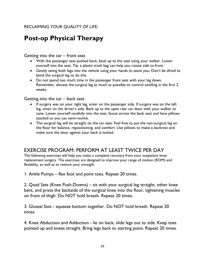# **Post-op Physical Therapy**

Getting into the car – front seat

- With the passenger seat pushed back, back up to the seat using your walker. Lower yourself into the seat. Tip: a plastic trash bag can help you rotate side to front.
- Gently swing both legs into the vehicle using your hands to assist you. Don't be afraid to bend the surgical leg to do this.
- Do not spend too much time in the passenger front seat with your leg down. Remember, elevate the surgical leg as much as possible to control swelling in the first 2 weeks.

Getting into the car – back seat

- If surgery was on your right leg, enter on the passenger side. If surgery was on the left leg, enter on the driver's side. Back up to the open rear car door with your walker or cane. Lower yourself carefully into the seat. Scoot across the back seat and have pillows stacked so you can semi-recline.
- The surgical leg will be straight on the car seat. Feel free to put the non-surgical leg on the floor for balance, repositioning, and comfort. Use pillows to make a backrest and make sure the door against your back is locked.

### EXERCISE PROGRAM: PERFORM AT LEAST TWICE PER DAY

The following exercises will help you make a complete recovery from your outpatient knee replacement surgery. The exercises are designed to improve your range of motion (ROM) and flexibility, as well as to restore your strength.

1. Ankle Pumps – flex foot and point toes. Repeat 20 times.

2. Quad Sets (Knee Push-Downs) – sit with your surgical leg straight, other knee bent, and press the backside of the surgical knee into the floor, tightening muscles on front of thigh. Do NOT hold breath. Repeat 20 times.

3. Gluteal Sets - squeeze bottom together. Do NOT hold breath. Repeat 20 times.

4. Knee Abduction and Adduction - lie on back, slide legs out to side. Keep toes pointed up and knees straight. Bring legs back to starting point. Repeat 20 times.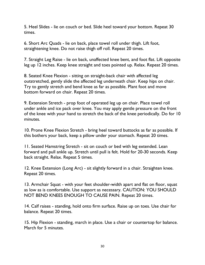5. Heel Slides - lie on couch or bed. Slide heel toward your bottom. Repeat 30 times.

6. Short Arc Quads - lie on back, place towel roll under thigh. Lift foot, straightening knee. Do not raise thigh off roll. Repeat 20 times.

7. Straight Leg Raise - lie on back, unaffected knee bent, and foot flat. Lift opposite leg up 12 inches. Keep knee straight and toes pointed up. Relax. Repeat 20 times.

8. Seated Knee Flexion - sitting on straight-back chair with affected leg outstretched, gently slide the affected leg underneath chair. Keep hips on chair. Try to gently stretch and bend knee as far as possible. Plant foot and move bottom forward on chair. Repeat 20 times.

9. Extension Stretch - prop foot of operated leg up on chair. Place towel roll under ankle and ice pack over knee. You may apply gentle pressure on the front of the knee with your hand to stretch the back of the knee periodically. Do for 10 minutes.

10. Prone Knee Flexion Stretch - bring heel toward buttocks as far as possible. If this bothers your back, keep a pillow under your stomach. Repeat 20 times.

11. Seated Hamstring Stretch - sit on couch or bed with leg extended. Lean forward and pull ankle up. Stretch until pull is felt. Hold for 20-30 seconds. Keep back straight. Relax. Repeat 5 times.

12. Knee Extension (Long Arc) - sit slightly forward in a chair. Straighten knee. Repeat 20 times.

13. Armchair Squat - with your feet shoulder-width apart and flat on floor, squat as low as is comfortable. Use support as necessary. CAUTION: YOU SHOULD NOT BEND KNEES ENOUGH TO CAUSE PAIN. Repeat 20 times.

14. Calf raises - standing, hold onto firm surface. Raise up on toes. Use chair for balance. Repeat 20 times.

15. Hip Flexion - standing, march in place. Use a chair or countertop for balance. March for 5 minutes.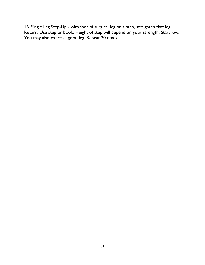16. Single Leg Step-Up - with foot of surgical leg on a step, straighten that leg. Return. Use step or book. Height of step will depend on your strength. Start low. You may also exercise good leg. Repeat 20 times.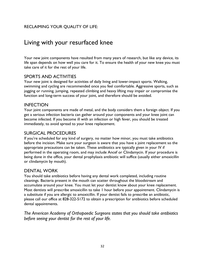### Living with your resurfaced knee

Your new joint components have resulted from many years of research, but like any device, its life span depends on how well you care for it. To ensure the health of your new knee you must take care of it for the rest of your life.

#### SPORTS AND ACTIVITIES

Your new joint is designed for activities of daily living and lower-impact sports. Walking, swimming and cycling are recommended once you feel comfortable. Aggressive sports, such as jogging or running, jumping, repeated climbing and heavy lifting may impair or compromise the function and long-term success of your joint, and therefore should be avoided.

#### **INFECTION**

Your joint components are made of metal, and the body considers them a foreign object. If you get a serious infection bacteria can gather around your components and your knee joint can become infected. If you become ill with an infection or high fever, you should be treated immediately, to avoid spread to your knee replacement.

#### SURGICAL PROCEDURES

If you're scheduled for any kind of surgery, no matter how minor, you must take antibiotics before the incision. Make sure your surgeon is aware that you have a joint replacement so the appropriate precautions can be taken. These antibiotics are typically given in your IV if performed in the operating room, and may include Ancef or Clindamycin. If your procedure is being done in the office, your dental prophylaxis antibiotic will suffice (usually either amoxicillin or clindamycin by mouth).

#### DENTAL WORK

You should take antibiotics before having any dental work completed, including routine cleanings. Bacteria present in the mouth can scatter throughout the bloodstream and accumulate around your knee. You must let your dentist know about your knee replacement. Most dentists will prescribe amoxicillin to take 1 hour before your appointment. Clindamycin is a substitute if you are allergic to amoxicillin. If your dentist fails to prescribe an antibiotic, please call our office at 828-322-5172 to obtain a prescription for antibiotics before scheduled dental appointments.

*The American Academy of Orthopaedic Surgeons states that you should take antibiotics before seeing your dentist for the rest of your life.*